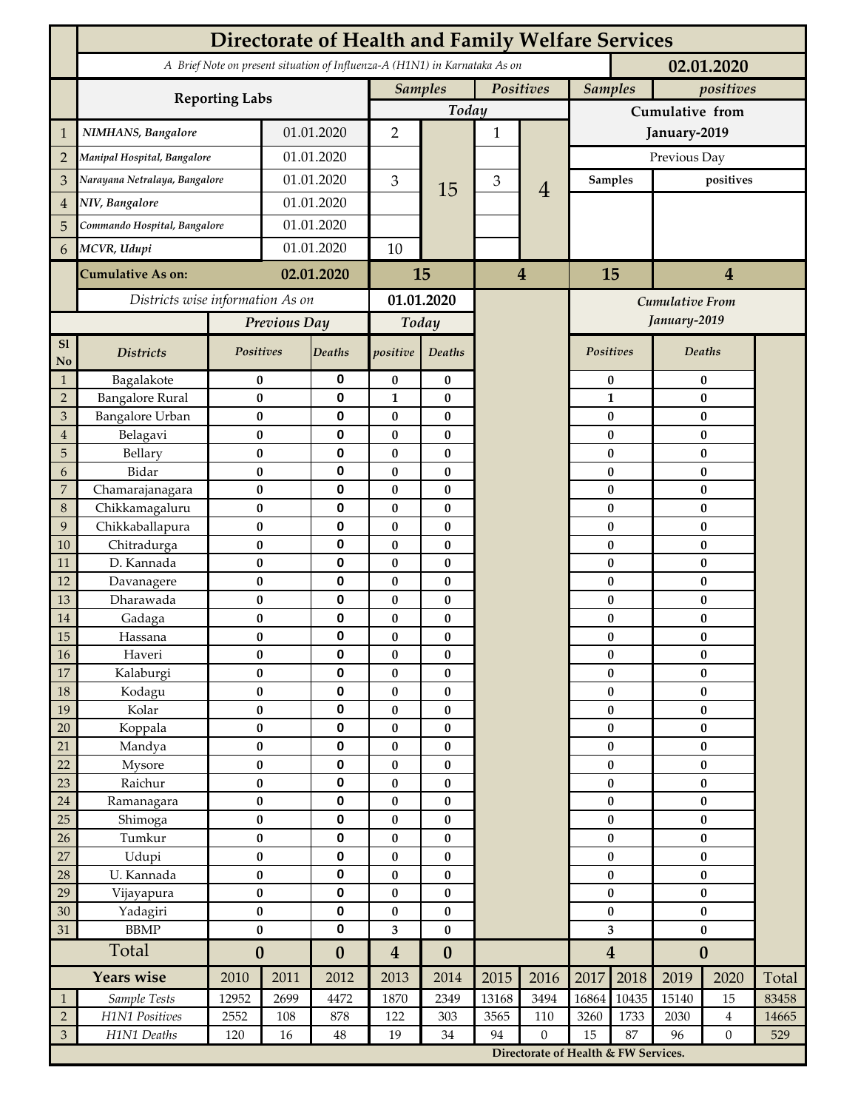|                             | <b>Directorate of Health and Family Welfare Services</b>                                 |                        |            |                        |                              |                               |                 |                                        |                  |                             |                        |                      |       |  |
|-----------------------------|------------------------------------------------------------------------------------------|------------------------|------------|------------------------|------------------------------|-------------------------------|-----------------|----------------------------------------|------------------|-----------------------------|------------------------|----------------------|-------|--|
|                             | A Brief Note on present situation of Influenza-A (H1N1) in Karnataka As on<br>02.01.2020 |                        |            |                        |                              |                               |                 |                                        |                  |                             |                        |                      |       |  |
|                             | <b>Reporting Labs</b>                                                                    |                        |            |                        |                              | <b>Samples</b><br>Positives   |                 |                                        |                  | <b>Samples</b><br>positives |                        |                      |       |  |
|                             |                                                                                          |                        |            | Today                  |                              |                               | Cumulative from |                                        |                  |                             |                        |                      |       |  |
| 1                           | NIMHANS, Bangalore                                                                       | 01.01.2020             |            | $\overline{2}$         |                              | $\mathbf{1}$                  |                 | January-2019                           |                  |                             |                        |                      |       |  |
| $\overline{2}$              | Manipal Hospital, Bangalore                                                              |                        | 01.01.2020 |                        |                              |                               |                 |                                        | Previous Day     |                             |                        |                      |       |  |
| 3                           | Narayana Netralaya, Bangalore                                                            |                        |            | 01.01.2020             |                              | 15                            | $\mathfrak{Z}$  |                                        |                  | <b>Samples</b>              | positives              |                      |       |  |
| $\overline{4}$              | NIV, Bangalore                                                                           |                        | 01.01.2020 |                        | 3                            |                               |                 | $\overline{4}$                         |                  |                             |                        |                      |       |  |
| 5                           | Commando Hospital, Bangalore                                                             |                        | 01.01.2020 |                        |                              |                               |                 |                                        |                  |                             |                        |                      |       |  |
| 6                           | MCVR, Udupi                                                                              |                        | 01.01.2020 |                        | 10                           |                               |                 |                                        |                  |                             |                        |                      |       |  |
|                             |                                                                                          |                        |            |                        |                              |                               |                 |                                        |                  |                             |                        |                      |       |  |
|                             | <b>Cumulative As on:</b>                                                                 | 02.01.2020             |            | 15                     |                              | $\overline{\mathbf{4}}$       |                 | 15<br>$\overline{4}$                   |                  |                             |                        |                      |       |  |
|                             | Districts wise information As on                                                         |                        |            | 01.01.2020             |                              |                               |                 | <b>Cumulative From</b><br>January-2019 |                  |                             |                        |                      |       |  |
|                             |                                                                                          | Previous Day           |            | Today                  |                              |                               |                 |                                        |                  |                             |                        |                      |       |  |
| S1<br>No                    | <b>Districts</b>                                                                         | Positives              |            | Deaths                 | positive                     | Deaths                        |                 |                                        | Positives        |                             |                        | Deaths               |       |  |
| $\mathbf{1}$                | Bagalakote                                                                               | $\bf{0}$               |            | 0                      | $\bf{0}$                     | $\pmb{0}$                     |                 |                                        |                  | $\bf{0}$                    | $\pmb{0}$              |                      |       |  |
| $\overline{2}$              | <b>Bangalore Rural</b>                                                                   | $\bf{0}$               |            | 0                      | 1                            | $\bf{0}$                      |                 |                                        |                  | $\mathbf{1}$                | $\pmb{0}$              |                      |       |  |
| 3<br>$\overline{4}$         | <b>Bangalore Urban</b><br>Belagavi                                                       | $\bf{0}$               |            | 0<br>$\pmb{0}$         | 0<br>$\bf{0}$                | $\bf{0}$<br>$\bf{0}$          |                 |                                        |                  | 0<br>$\bf{0}$               | $\bf{0}$<br>$\bf{0}$   |                      |       |  |
| 5                           | Bellary                                                                                  | $\pmb{0}$<br>$\bf{0}$  |            | 0                      | $\bf{0}$                     | $\bf{0}$                      |                 |                                        |                  | $\bf{0}$                    | $\bf{0}$               |                      |       |  |
| 6                           | Bidar                                                                                    | $\bf{0}$               |            | 0                      | 0                            | $\bf{0}$                      |                 |                                        |                  | $\bf{0}$                    | $\bf{0}$               |                      |       |  |
| $\overline{7}$              | Chamarajanagara                                                                          | $\pmb{0}$              |            | $\mathbf 0$            | $\bf{0}$                     | $\bf{0}$                      |                 |                                        |                  | $\bf{0}$                    | $\bf{0}$               |                      |       |  |
| 8                           | Chikkamagaluru                                                                           | $\bf{0}$               |            | 0                      | 0                            | $\bf{0}$                      |                 |                                        |                  | 0                           |                        | $\bf{0}$             |       |  |
| 9                           | Chikkaballapura                                                                          | $\bf{0}$               |            | 0                      | 0                            | $\bf{0}$                      |                 |                                        |                  | 0                           |                        | $\bf{0}$             |       |  |
| 10<br>11                    | Chitradurga<br>D. Kannada                                                                | $\bf{0}$<br>$\bf{0}$   |            | 0<br>0                 | 0<br>0                       | $\bf{0}$<br>$\bf{0}$          |                 |                                        |                  | 0<br>0                      |                        | $\bf{0}$<br>$\bf{0}$ |       |  |
| 12                          | Davanagere                                                                               | $\pmb{0}$              |            | 0                      | $\bf{0}$                     | $\pmb{0}$                     |                 |                                        |                  | $\bf{0}$                    |                        | $\pmb{0}$            |       |  |
| 13                          | Dharawada                                                                                | $\pmb{0}$              |            | 0                      | 0                            | $\bf{0}$                      |                 |                                        |                  | $\bf{0}$                    |                        | $\bf{0}$             |       |  |
| 14                          | Gadaga                                                                                   | $\bf{0}$               |            | 0                      | 0                            | $\bf{0}$                      |                 |                                        |                  | 0                           | $\bf{0}$               |                      |       |  |
| 15                          | Hassana                                                                                  | $\bf{0}$               |            | 0                      | 0                            | $\pmb{0}$                     |                 |                                        |                  | 0                           | $\pmb{0}$              |                      |       |  |
| $16\,$                      | Haveri                                                                                   | $\pmb{0}$              |            | 0                      | $\bf{0}$                     | 0                             |                 |                                        |                  | $\pmb{0}$                   | $\pmb{0}$              |                      |       |  |
| $17\,$<br>18                | Kalaburgi<br>Kodagu                                                                      | $\bf{0}$<br>$\pmb{0}$  |            | 0<br>$\pmb{0}$         | 0<br>$\pmb{0}$               | $\bf{0}$<br>$\pmb{0}$         |                 |                                        |                  | $\bf{0}$<br>$\pmb{0}$       | $\bf{0}$<br>$\pmb{0}$  |                      |       |  |
| 19                          | Kolar                                                                                    | $\pmb{0}$              |            | $\pmb{0}$              | 0                            | $\bf{0}$                      |                 |                                        |                  | $\pmb{0}$                   | $\pmb{0}$              |                      |       |  |
| 20                          | Koppala                                                                                  | $\pmb{0}$              |            | $\pmb{0}$              | $\bf{0}$                     | $\pmb{0}$                     |                 |                                        | $\bf{0}$         |                             | $\pmb{0}$              |                      |       |  |
| 21                          | Mandya                                                                                   | $\bf{0}$               |            | $\pmb{0}$              | 0                            | $\pmb{0}$                     |                 |                                        | $\bf{0}$         |                             | $\pmb{0}$              |                      |       |  |
| 22                          | Mysore                                                                                   | $\pmb{0}$              |            | 0                      | 0                            | $\pmb{0}$                     |                 |                                        | $\bf{0}$         |                             | $\pmb{0}$              |                      |       |  |
| 23                          | Raichur                                                                                  | $\pmb{0}$<br>$\pmb{0}$ |            | 0                      | $\bf{0}$                     | $\pmb{0}$                     |                 |                                        | $\pmb{0}$        |                             | $\pmb{0}$              |                      |       |  |
| $24\,$<br>25                | Ramanagara<br>Shimoga                                                                    | $\bf{0}$               |            | 0<br>0                 | 0<br>0                       | $\pmb{0}$<br>$\bf{0}$         |                 |                                        | $\pmb{0}$<br>0   |                             | $\pmb{0}$<br>$\bf{0}$  |                      |       |  |
| 26                          | Tumkur                                                                                   | $\bf{0}$               |            | 0                      | 0                            | $\pmb{0}$                     |                 |                                        | $\bf{0}$         |                             | $\pmb{0}$              |                      |       |  |
| 27                          | Udupi                                                                                    | $\bf{0}$               |            | $\pmb{0}$              | 0                            | $\pmb{0}$                     |                 |                                        | $\bf{0}$         |                             | $\bf{0}$               |                      |       |  |
| 28                          | U. Kannada                                                                               | $\bf{0}$               |            | 0                      | $\bf{0}$                     | $\pmb{0}$                     |                 |                                        | $\pmb{0}$        |                             | $\bf{0}$               |                      |       |  |
| 29                          | Vijayapura                                                                               | $\pmb{0}$              |            | $\pmb{0}$              | $\bf{0}$                     | $\pmb{0}$                     |                 |                                        | $\pmb{0}$        |                             | $\pmb{0}$              |                      |       |  |
| $30\,$<br>31                | Yadagiri<br><b>BBMP</b>                                                                  | $\bf{0}$<br>$\bf{0}$   |            | $\pmb{0}$<br>$\pmb{0}$ | 0                            | $\pmb{0}$                     |                 |                                        | $\pmb{0}$<br>3   |                             | $\pmb{0}$<br>$\pmb{0}$ |                      |       |  |
|                             | Total                                                                                    | $\boldsymbol{0}$       |            | $\boldsymbol{0}$       | 3<br>$\overline{\mathbf{4}}$ | $\pmb{0}$<br>$\boldsymbol{0}$ |                 |                                        | $\boldsymbol{4}$ |                             | $\boldsymbol{0}$       |                      |       |  |
|                             | <b>Years wise</b>                                                                        | 2010                   | 2011       | 2012                   | 2013                         | 2014                          | 2015            | 2016                                   | 2017             | 2018                        | 2019                   | 2020                 | Total |  |
| $\mathbf{1}$                | Sample Tests                                                                             | 12952                  | 2699       | 4472                   | 1870                         | 2349                          | 13168           | 3494                                   | 16864            | 10435                       | 15140                  | 15                   | 83458 |  |
| $\sqrt{2}$                  | H1N1 Positives                                                                           | 2552                   | 108        | 878                    | 122                          | 303                           | 3565            | 110                                    | 3260             | 1733                        | 2030                   | $\overline{4}$       | 14665 |  |
| $\ensuremath{\mathfrak{Z}}$ | H1N1 Deaths                                                                              | 120                    | 16         | $\rm 48$               | 19                           | $34\,$                        | 94              | $\boldsymbol{0}$                       | 15               | 87                          | 96                     | $\overline{0}$       | 529   |  |
|                             |                                                                                          |                        |            |                        |                              |                               |                 | Directorate of Health & FW Services.   |                  |                             |                        |                      |       |  |